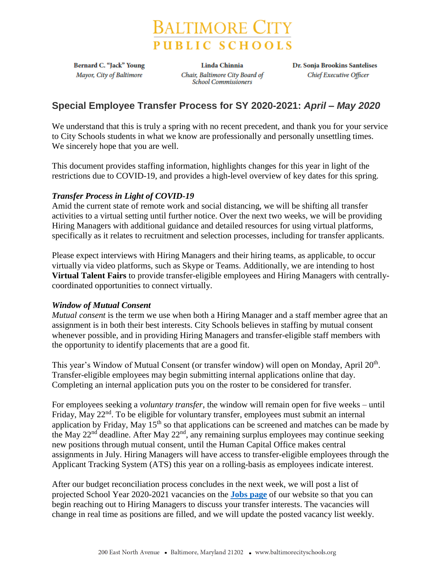

**Bernard C. "Jack" Young** Mayor, City of Baltimore

**Linda Chinnia** Chair, Baltimore City Board of **School Commissioners** 

Dr. Sonja Brookins Santelises Chief Executive Officer

# **Special Employee Transfer Process for SY 2020-2021:** *April – May 2020*

We understand that this is truly a spring with no recent precedent, and thank you for your service to City Schools students in what we know are professionally and personally unsettling times. We sincerely hope that you are well.

This document provides staffing information, highlights changes for this year in light of the restrictions due to COVID-19, and provides a high-level overview of key dates for this spring.

## *Transfer Process in Light of COVID-19*

Amid the current state of remote work and social distancing, we will be shifting all transfer activities to a virtual setting until further notice. Over the next two weeks, we will be providing Hiring Managers with additional guidance and detailed resources for using virtual platforms, specifically as it relates to recruitment and selection processes, including for transfer applicants.

Please expect interviews with Hiring Managers and their hiring teams, as applicable, to occur virtually via video platforms, such as Skype or Teams. Additionally, we are intending to host **Virtual Talent Fairs** to provide transfer-eligible employees and Hiring Managers with centrallycoordinated opportunities to connect virtually.

## *Window of Mutual Consent*

*Mutual consent* is the term we use when both a Hiring Manager and a staff member agree that an assignment is in both their best interests. City Schools believes in staffing by mutual consent whenever possible, and in providing Hiring Managers and transfer-eligible staff members with the opportunity to identify placements that are a good fit.

This year's Window of Mutual Consent (or transfer window) will open on Monday, April 20<sup>th</sup>. Transfer-eligible employees may begin submitting internal applications online that day. Completing an internal application puts you on the roster to be considered for transfer.

For employees seeking a *voluntary transfer*, the window will remain open for five weeks – until Friday, May 22<sup>nd</sup>. To be eligible for voluntary transfer, employees must submit an internal application by Friday, May 15<sup>th</sup> so that applications can be screened and matches can be made by the May 22nd deadline. After May 22nd, any remaining surplus employees may continue seeking new positions through mutual consent, until the Human Capital Office makes central assignments in July. Hiring Managers will have access to transfer-eligible employees through the Applicant Tracking System (ATS) this year on a rolling-basis as employees indicate interest.

After our budget reconciliation process concludes in the next week, we will post a list of projected School Year 2020-2021 vacancies on the **[Jobs page](https://www.baltimorecityschools.org/jobs)** of our website so that you can begin reaching out to Hiring Managers to discuss your transfer interests. The vacancies will change in real time as positions are filled, and we will update the posted vacancy list weekly.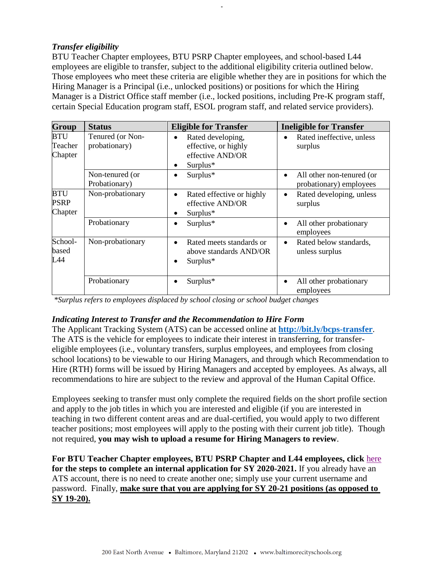### *Transfer eligibility*

BTU Teacher Chapter employees, BTU PSRP Chapter employees, and school-based L44 employees are eligible to transfer, subject to the additional eligibility criteria outlined below. Those employees who meet these criteria are eligible whether they are in positions for which the Hiring Manager is a Principal (i.e., unlocked positions) or positions for which the Hiring Manager is a District Office staff member (i.e., locked positions, including Pre-K program staff, certain Special Education program staff, ESOL program staff, and related service providers).

-

| Group                                | <b>Status</b>                     | <b>Eligible for Transfer</b>                                                                  | <b>Ineligible for Transfer</b>                                    |
|--------------------------------------|-----------------------------------|-----------------------------------------------------------------------------------------------|-------------------------------------------------------------------|
| <b>BTU</b><br>Teacher<br>Chapter     | Tenured (or Non-<br>probationary) | Rated developing,<br>$\bullet$<br>effective, or highly<br>effective AND/OR<br>$Surplus*$<br>٠ | Rated ineffective, unless<br>$\bullet$<br>surplus                 |
|                                      | Non-tenured (or<br>Probationary)  | Surplus*<br>$\bullet$                                                                         | All other non-tenured (or<br>$\bullet$<br>probationary) employees |
| <b>BTU</b><br><b>PSRP</b><br>Chapter | Non-probationary                  | Rated effective or highly<br>$\bullet$<br>effective AND/OR<br>$Surplus*$<br>٠                 | Rated developing, unless<br>$\bullet$<br>surplus                  |
|                                      | Probationary                      | Surplus*<br>$\bullet$                                                                         | All other probationary<br>٠<br>employees                          |
| School-<br>based<br>L44              | Non-probationary                  | Rated meets standards or<br>$\bullet$<br>above standards AND/OR<br>Surplus*<br>٠              | Rated below standards,<br>٠<br>unless surplus                     |
|                                      | Probationary                      | Surplus*                                                                                      | All other probationary<br>employees                               |

*\*Surplus refers to employees displaced by school closing or school budget changes*

#### *Indicating Interest to Transfer and the Recommendation to Hire Form*

The Applicant Tracking System (ATS) can be accessed online at **<http://bit.ly/bcps-transfer>**. The ATS is the vehicle for employees to indicate their interest in transferring, for transfereligible employees (i.e., voluntary transfers, surplus employees, and employees from closing school locations) to be viewable to our Hiring Managers, and through which Recommendation to Hire (RTH) forms will be issued by Hiring Managers and accepted by employees. As always, all recommendations to hire are subject to the review and approval of the Human Capital Office.

Employees seeking to transfer must only complete the required fields on the short profile section and apply to the job titles in which you are interested and eligible (if you are interested in teaching in two different content areas and are dual-certified, you would apply to two different teacher positions; most employees will apply to the posting with their current job title). Though not required, **you may wish to upload a resume for Hiring Managers to review**.

**For BTU Teacher Chapter employees, BTU PSRP Chapter and L44 employees, click** [here](https://cityschools2013-my.sharepoint.com/:w:/g/personal/sdiehl_bcps_k12_md_us/EdSTudA1fvlPt06kYVW-ePYBip8-NE1pZuKgeu4fiU0S3A) **for the steps to complete an internal application for SY 2020-2021.** If you already have an ATS account, there is no need to create another one; simply use your current username and password. Finally, **make sure that you are applying for SY 20-21 positions (as opposed to SY 19-20).**